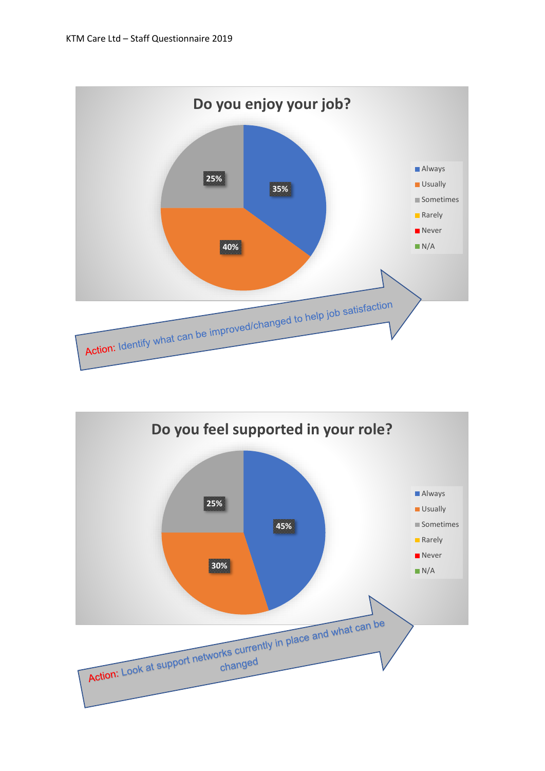

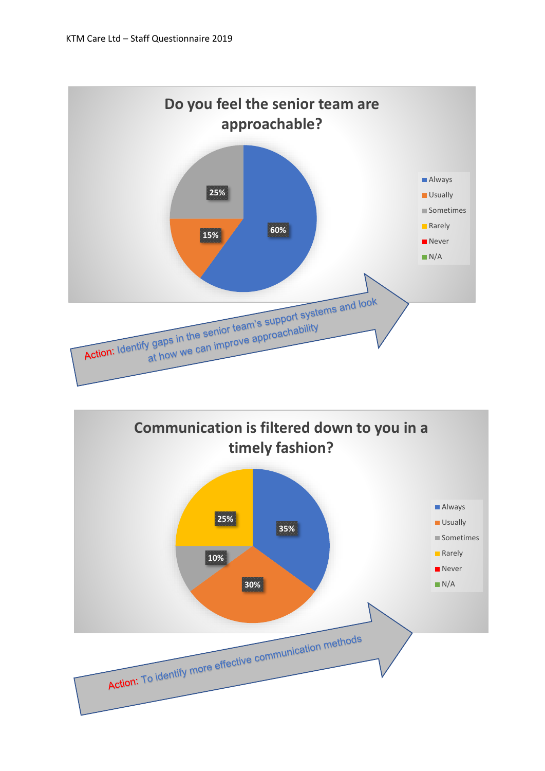

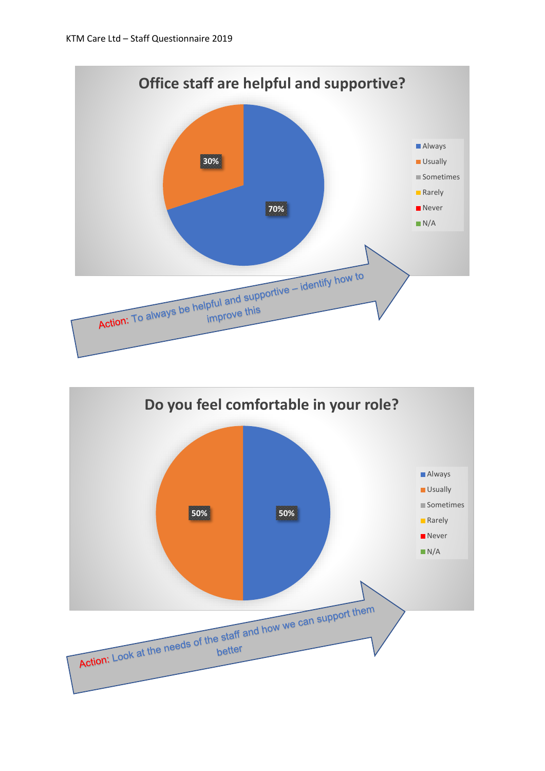

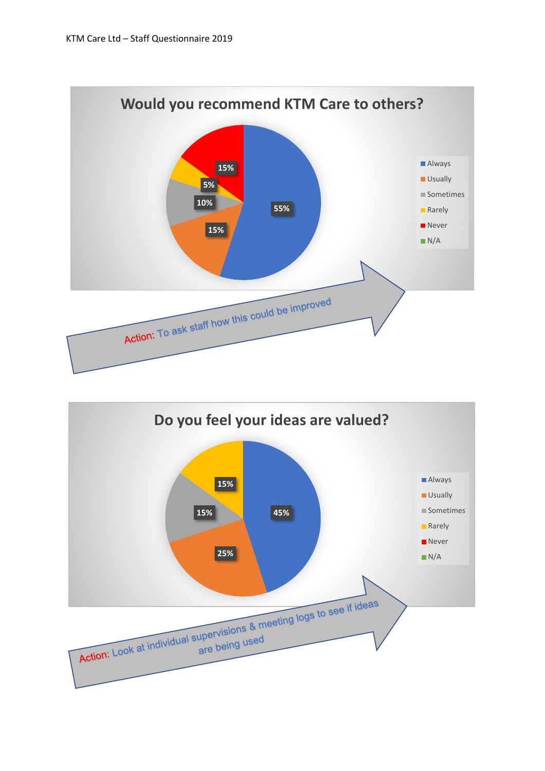